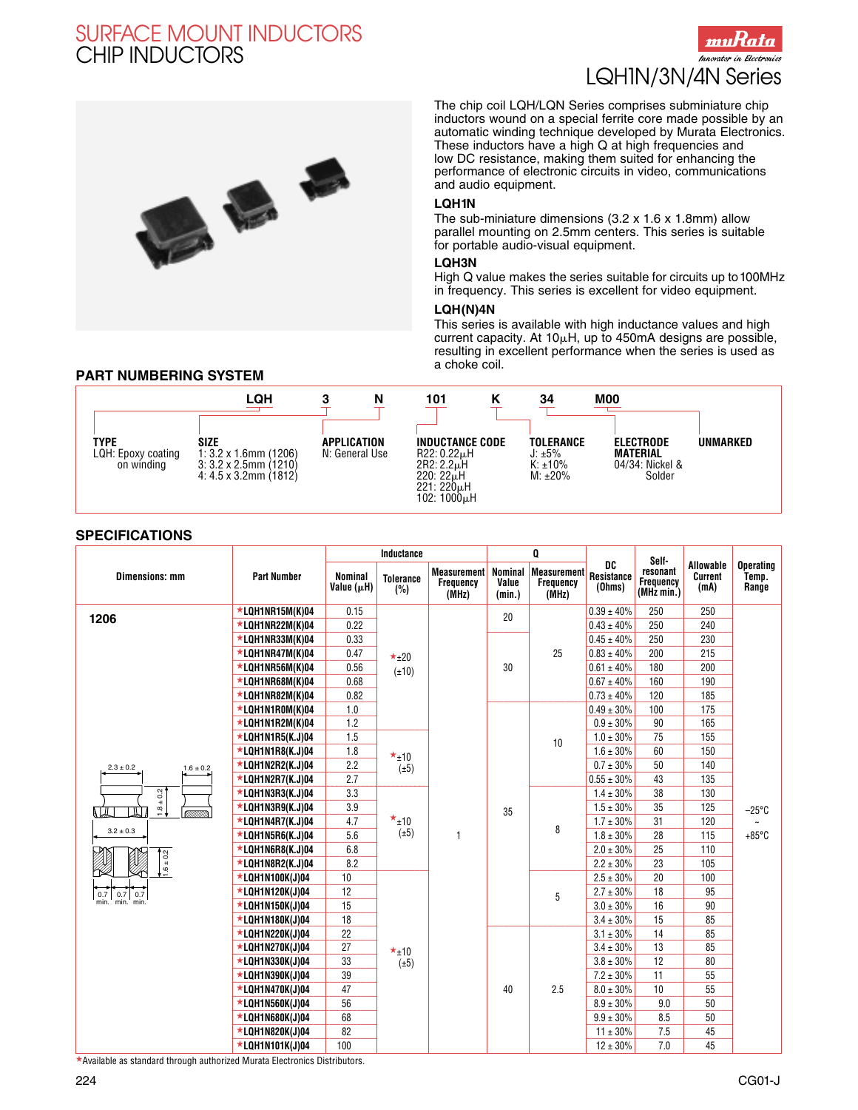



The chip coil LQH/LQN Series comprises subminiature chip inductors wound on a special ferrite core made possible by an automatic winding technique developed by Murata Electronics. These inductors have a high Q at high frequencies and low DC resistance, making them suited for enhancing the performance of electronic circuits in video, communications and audio equipment.

#### **LQH1N**

The sub-miniature dimensions (3.2 x 1.6 x 1.8mm) allow parallel mounting on 2.5mm centers. This series is suitable for portable audio-visual equipment.

#### **LQH3N**

High Q value makes the series suitable for circuits up to100MHz in frequency. This series is excellent for video equipment.

#### **LQH(N)4N**

This series is available with high inductance values and high current capacity. At 10 $\mu$ H, up to 450mA designs are possible, resulting in excellent performance when the series is used as a choke coil.

### **PART NUMBERING SYSTEM**

|                                          | LQH                                                                                                         | Ν                                    | 101                                                                                                | 34                                                                 | M <sub>00</sub>                                                              |
|------------------------------------------|-------------------------------------------------------------------------------------------------------------|--------------------------------------|----------------------------------------------------------------------------------------------------|--------------------------------------------------------------------|------------------------------------------------------------------------------|
| TYPE<br>LQH: Epoxy coating<br>on winding | <b>SIZE</b><br>$1:3.2 \times 1.6$ mm (1206)<br>$3:3.2 \times 2.5$ mm (1210)<br>$4:4.5 \times 3.2$ mm (1812) | <b>APPLICATION</b><br>N: General Use | <b>INDUCTANCE CODE</b><br>R22: 0.22 uH<br>2R2: 2.2uH<br>220: 22uH<br>221: 220uH<br>$102:1000\mu H$ | <b>TOLERANCE</b><br>$J: \pm 5\%$<br>$K: \pm 10\%$<br>$M: \pm 20\%$ | UNMARKED<br><b>ELECTRODE</b><br><b>MATERIAL</b><br>04/34: Nickel &<br>Solder |

#### **SPECIFICATIONS**

|                                        | <b>Part Number</b>      | Inductance                   |                         |                                          | Q                                 |                                          |                            | Self-                                      |                              |                                    |
|----------------------------------------|-------------------------|------------------------------|-------------------------|------------------------------------------|-----------------------------------|------------------------------------------|----------------------------|--------------------------------------------|------------------------------|------------------------------------|
| <b>Dimensions: mm</b>                  |                         | <b>Nominal</b><br>Value (µH) | <b>Tolerance</b><br>(%) | <b>Measurement</b><br>Frequency<br>(MHz) | <b>Nominal</b><br>Value<br>(min.) | <b>Measurement</b><br>Frequency<br>(MHz) | DC<br>Resistance<br>(Ohms) | resonant<br><b>Frequency</b><br>(MHz min.) | Allowable<br>Current<br>(mA) | <b>Operating</b><br>Temp.<br>Range |
|                                        | $\star$ LQH1NR15M(K)04  | 0.15                         |                         |                                          | 20                                |                                          | $0.39 \pm 40\%$            | 250                                        | 250                          |                                    |
| 1206                                   | $\star$ LQH1NR22M(K)04  | 0.22                         |                         |                                          |                                   |                                          | $0.43 \pm 40\%$            | 250                                        | 240                          |                                    |
|                                        | $\star$ LQH1NR33M(K)04  | 0.33                         |                         |                                          |                                   |                                          | $0.45 \pm 40\%$            | 250                                        | 230                          |                                    |
|                                        | $\star$ LQH1NR47M(K)04  | 0.47                         | $\star$ <sub>±20</sub>  |                                          |                                   | 25                                       | $0.83 \pm 40\%$            | 200                                        | 215                          |                                    |
|                                        | $\star$ LQH1NR56M(K)04  | 0.56                         | $(\pm 10)$              |                                          | 30                                |                                          | $0.61 \pm 40\%$            | 180                                        | 200                          |                                    |
|                                        | $\star$ LQH1NR68M(K)04  | 0.68                         |                         |                                          |                                   |                                          | $0.67 \pm 40\%$            | 160                                        | 190                          |                                    |
|                                        | $\star$ LQH1NR82M(K)04  | 0.82                         |                         |                                          |                                   |                                          | $0.73 \pm 40\%$            | 120                                        | 185                          |                                    |
|                                        | $\star$ LQH1N1R0M(K)04  | 1.0                          |                         |                                          |                                   |                                          | $0.49 \pm 30\%$            | 100                                        | 175                          |                                    |
|                                        | *LQH1N1R2M(K)04         | 1.2                          |                         |                                          |                                   |                                          | $0.9 \pm 30\%$             | 90                                         | 165                          |                                    |
|                                        | $\star$ LQH1N1R5(K.J)04 | 1.5                          |                         |                                          |                                   | 10                                       | $1.0 \pm 30\%$             | 75                                         | 155                          |                                    |
|                                        | *LQH1N1R8(K.J)04        | 1.8                          | $\star$ <sub>±10</sub>  |                                          |                                   |                                          | $1.6 \pm 30\%$             | 60                                         | 150                          |                                    |
| $2.3 \pm 0.2$<br>$1.6 \pm 0.2$         | *LQH1N2R2(K.J)04        | 2.2                          | $(\pm 5)$               |                                          |                                   |                                          | $0.7 \pm 30\%$             | 50                                         | 140                          |                                    |
|                                        | $\star$ LQH1N2R7(K.J)04 | 2.7                          |                         |                                          |                                   |                                          | $0.55 \pm 30\%$            | 43                                         | 135                          |                                    |
| $+0.2$                                 | $\star$ LQH1N3R3(K.J)04 | 3.3                          |                         |                                          |                                   |                                          | $1.4 \pm 30\%$             | 38                                         | 130                          |                                    |
| $\frac{1}{2}$<br>Щ<br>ШJ               | $\star$ LQH1N3R9(K.J)04 | 3.9                          |                         |                                          | 35                                |                                          | $1.5 \pm 30\%$             | 35                                         | 125                          | $-25^{\circ}$ C                    |
|                                        | *LQH1N4R7(K.J)04        | 4.7                          | $\star$ <sub>±10</sub>  |                                          |                                   | 8                                        | $1.7 \pm 30\%$             | 31                                         | 120                          |                                    |
| $3.2 \pm 0.3$                          | $\star$ LQH1N5R6(K.J)04 | 5.6                          | $(\pm 5)$               | 1                                        |                                   |                                          | $1.8 \pm 30\%$             | 28                                         | 115                          | $+85^{\circ}$ C                    |
|                                        | $\star$ LQH1N6R8(K.J)04 | 6.8                          |                         |                                          |                                   |                                          | $2.0 \pm 30\%$             | 25                                         | 110                          |                                    |
| $1.6 \pm 0.2$                          | $\star$ LQH1N8R2(K.J)04 | 8.2                          |                         |                                          |                                   |                                          | $2.2 \pm 30\%$             | 23                                         | 105                          |                                    |
|                                        | $\star$ LQH1N100K(J)04  | 10                           |                         |                                          |                                   |                                          | $2.5 \pm 30\%$             | 20                                         | 100                          |                                    |
| 0.7<br>$0.7$ 0.7<br>min.<br>min.' min. | *LQH1N120K(J)04         | 12                           |                         |                                          |                                   | 5                                        | $2.7\pm30\%$               | 18                                         | 95                           |                                    |
|                                        | $\star$ LQH1N150K(J)04  | 15                           |                         |                                          |                                   |                                          | $3.0 \pm 30\%$             | 16                                         | 90                           |                                    |
|                                        | $\star$ LQH1N180K(J)04  | 18                           |                         |                                          |                                   |                                          | $3.4 \pm 30\%$             | 15                                         | 85                           |                                    |
|                                        | $\star$ LQH1N220K(J)04  | 22                           |                         |                                          |                                   |                                          | $3.1 \pm 30\%$             | 14                                         | 85                           |                                    |
|                                        | $\star$ LQH1N270K(J)04  | 27                           | $\star$ <sub>±10</sub>  |                                          |                                   |                                          | $3.4 \pm 30\%$             | 13                                         | 85                           |                                    |
|                                        | $\star$ LQH1N330K(J)04  | 33                           | $(\pm 5)$               |                                          |                                   |                                          | $3.8 \pm 30\%$             | 12                                         | 80                           |                                    |
|                                        | $\star$ LQH1N390K(J)04  | 39                           |                         |                                          |                                   |                                          | $7.2 \pm 30\%$             | 11                                         | 55                           |                                    |
|                                        | $\star$ LQH1N470K(J)04  | 47                           |                         |                                          | 40                                | 2.5                                      | $8.0\pm30\%$               | 10                                         | 55                           |                                    |
|                                        | $\star$ LQH1N560K(J)04  | 56                           |                         |                                          |                                   |                                          | $8.9 \pm 30\%$             | 9.0                                        | 50                           |                                    |
|                                        | *LQH1N680K(J)04         | 68                           |                         |                                          |                                   |                                          | $9.9 \pm 30\%$             | 8.5                                        | 50                           |                                    |
|                                        | *LQH1N820K(J)04         | 82                           |                         |                                          |                                   |                                          | $11 \pm 30\%$              | 7.5                                        | 45                           |                                    |
|                                        | *LQH1N101K(J)04         | 100                          |                         |                                          |                                   |                                          | $12 \pm 30\%$              | 7.0                                        | 45                           |                                    |

-Available as standard through authorized Murata Electronics Distributors.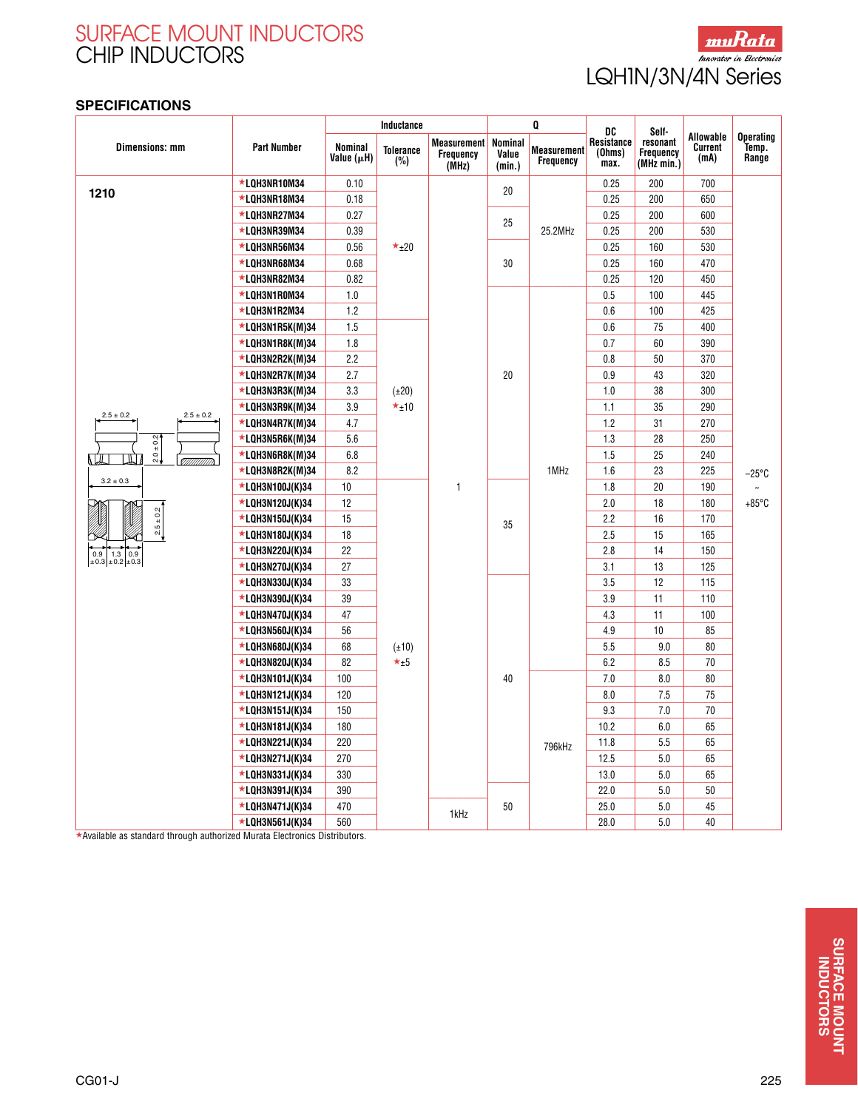

### **SPECIFICATIONS**

|                                | <b>Part Number</b> | Inductance            |                         |                                                 | Q                          |                                 | DC                           | Self-                                      |                                     |                                    |
|--------------------------------|--------------------|-----------------------|-------------------------|-------------------------------------------------|----------------------------|---------------------------------|------------------------------|--------------------------------------------|-------------------------------------|------------------------------------|
| <b>Dimensions: mm</b>          |                    | Nominal<br>Value (µH) | <b>Tolerance</b><br>(%) | <b>Measurement</b><br><b>Frequency</b><br>(MHz) | Nominal<br>Value<br>(min.) | <b>Measurement</b><br>Frequency | Resistance<br>(Ohms)<br>max. | resonant<br><b>Frequency</b><br>(MHz min.) | Allowable<br><b>Current</b><br>(mA) | <b>Operating</b><br>Temp.<br>Range |
|                                | *LQH3NR10M34       | 0.10                  |                         |                                                 |                            |                                 | 0.25                         | 200                                        | 700                                 |                                    |
| 1210                           | *LOH3NR18M34       | 0.18                  |                         |                                                 | 20                         |                                 | 0.25                         | 200                                        | 650                                 |                                    |
|                                | *LQH3NR27M34       | 0.27                  |                         |                                                 | 25                         | 25.2MHz                         | 0.25                         | 200                                        | 600                                 |                                    |
|                                | ★LQH3NR39M34       | 0.39                  |                         |                                                 |                            |                                 | 0.25                         | 200                                        | 530                                 |                                    |
|                                | ★LQH3NR56M34       | 0.56                  | $\star_{\pm 20}$        |                                                 | 30                         |                                 | 0.25                         | 160                                        | 530                                 |                                    |
|                                | ★LQH3NR68M34       | 0.68                  |                         |                                                 |                            |                                 | 0.25                         | 160                                        | 470                                 |                                    |
|                                | *LQH3NR82M34       | 0.82                  |                         |                                                 |                            |                                 | 0.25                         | 120                                        | 450                                 |                                    |
|                                | *LQH3N1R0M34       | 1.0                   |                         |                                                 |                            | 1MHz                            | 0.5                          | 100                                        | 445                                 |                                    |
|                                | *LQH3N1R2M34       | 1.2                   |                         |                                                 |                            |                                 | 0.6                          | 100                                        | 425                                 | $-25^{\circ}$ C<br>$+85^{\circ}$ C |
|                                | ★LQH3N1R5K(M)34    | 1.5                   |                         |                                                 |                            |                                 | 0.6                          | 75                                         | 400                                 |                                    |
|                                | *LQH3N1R8K(M)34    | 1.8                   |                         |                                                 |                            |                                 | 0.7                          | 60                                         | 390                                 |                                    |
|                                | *LQH3N2R2K(M)34    | 2.2                   |                         |                                                 |                            |                                 | 0.8                          | 50                                         | 370                                 |                                    |
|                                | *LQH3N2R7K(M)34    | 2.7                   |                         |                                                 | 20                         |                                 | 0.9                          | 43                                         | 320                                 |                                    |
|                                | *LQH3N3R3K(M)34    | 3.3                   | $(\pm 20)$              |                                                 |                            |                                 | 1.0                          | 38                                         | 300                                 |                                    |
| $2.5 \pm 0.2$<br>$2.5 \pm 0.2$ | ★LQH3N3R9K(M)34    | 3.9                   | $\star$ <sub>±10</sub>  |                                                 |                            |                                 | 1.1                          | 35                                         | 290                                 |                                    |
|                                | *LQH3N4R7K(M)34    | 4.7                   |                         |                                                 |                            |                                 | 1.2                          | 31                                         | 270                                 |                                    |
| $2.0 \pm 0.2$                  | *LQH3N5R6K(M)34    | 5.6                   |                         | $\mathbf{1}$                                    |                            |                                 | 1.3                          | 28                                         | 250                                 |                                    |
|                                | *LQH3N6R8K(M)34    | 6.8                   |                         |                                                 |                            |                                 | 1.5                          | 25                                         | 240                                 |                                    |
|                                | *LQH3N8R2K(M)34    | 8.2                   |                         |                                                 |                            |                                 | 1.6                          | 23                                         | 225                                 |                                    |
| $3.2\pm0.3$                    | *LQH3N100J(K)34    | 10                    |                         |                                                 | 35                         |                                 | 1.8                          | 20                                         | 190                                 |                                    |
|                                | ★LQH3N120J(K)34    | 12                    |                         |                                                 |                            |                                 | 2.0                          | 18                                         | 180                                 |                                    |
| $2.5 \pm 0.2$                  | *LQH3N150J(K)34    | 15                    |                         |                                                 |                            |                                 | 2.2                          | 16                                         | 170                                 |                                    |
|                                | ★LQH3N180J(K)34    | 18                    |                         |                                                 |                            |                                 | 2.5                          | 15                                         | 165                                 |                                    |
| $1.3$ 0.9<br>0.9 <sup>1</sup>  | *LQH3N220J(K)34    | 22                    |                         |                                                 |                            |                                 | 2.8                          | 14                                         | 150                                 |                                    |
| $\pm 0.3 \pm 0.2 \pm 0.3$      | *LQH3N270J(K)34    | 27                    |                         |                                                 |                            |                                 | 3.1                          | 13                                         | 125                                 |                                    |
|                                | *LQH3N330J(K)34    | 33                    |                         |                                                 |                            |                                 | 3.5                          | 12                                         | 115                                 |                                    |
|                                | ★LQH3N390J(K)34    | 39                    |                         |                                                 |                            |                                 | 3.9                          | 11                                         | 110                                 |                                    |
|                                | *LQH3N470J(K)34    | 47                    |                         |                                                 |                            |                                 | 4.3                          | 11                                         | 100                                 |                                    |
|                                | ★LQH3N560J(K)34    | 56                    |                         |                                                 |                            |                                 | 4.9                          | 10                                         | 85                                  |                                    |
|                                | *LQH3N680J(K)34    | 68                    | $(\pm 10)$              |                                                 |                            |                                 | 5.5                          | 9.0                                        | 80                                  |                                    |
|                                | ★LQH3N820J(K)34    | 82                    | $\star_{\pm 5}$         |                                                 |                            |                                 | 6.2                          | 8.5                                        | 70                                  |                                    |
|                                | ★LQH3N101J(K)34    | 100                   |                         |                                                 | 40                         |                                 | 7.0                          | 8.0                                        | 80                                  |                                    |
|                                | *LQH3N121J(K)34    | 120                   |                         |                                                 |                            |                                 | 8.0                          | 7.5                                        | 75                                  |                                    |
|                                | *LQH3N151J(K)34    | 150                   |                         |                                                 |                            |                                 | 9.3                          | 7.0                                        | 70                                  |                                    |
|                                | *LQH3N181J(K)34    | 180                   |                         |                                                 |                            |                                 | 10.2                         | 6.0                                        | 65                                  |                                    |
|                                | *LQH3N221J(K)34    | 220                   |                         |                                                 |                            | 796kHz                          | 11.8                         | 5.5                                        | 65                                  |                                    |
|                                | *LQH3N271J(K)34    | 270                   |                         |                                                 |                            |                                 | 12.5                         | 5.0                                        | 65                                  |                                    |
|                                | ★LQH3N331J(K)34    | 330                   |                         |                                                 |                            |                                 | 13.0                         | 5.0                                        | 65                                  |                                    |
|                                | *LQH3N391J(K)34    | 390                   |                         |                                                 |                            |                                 | 22.0                         | 5.0                                        | 50                                  |                                    |
|                                | ★LQH3N471J(K)34    | 470                   |                         | 1kHz                                            | 50                         |                                 | 25.0                         | 5.0                                        | 45                                  |                                    |
|                                | *LQH3N561J(K)34    | 560                   |                         |                                                 |                            |                                 | 28.0                         | 5.0                                        | 40                                  |                                    |

-Available as standard through authorized Murata Electronics Distributors.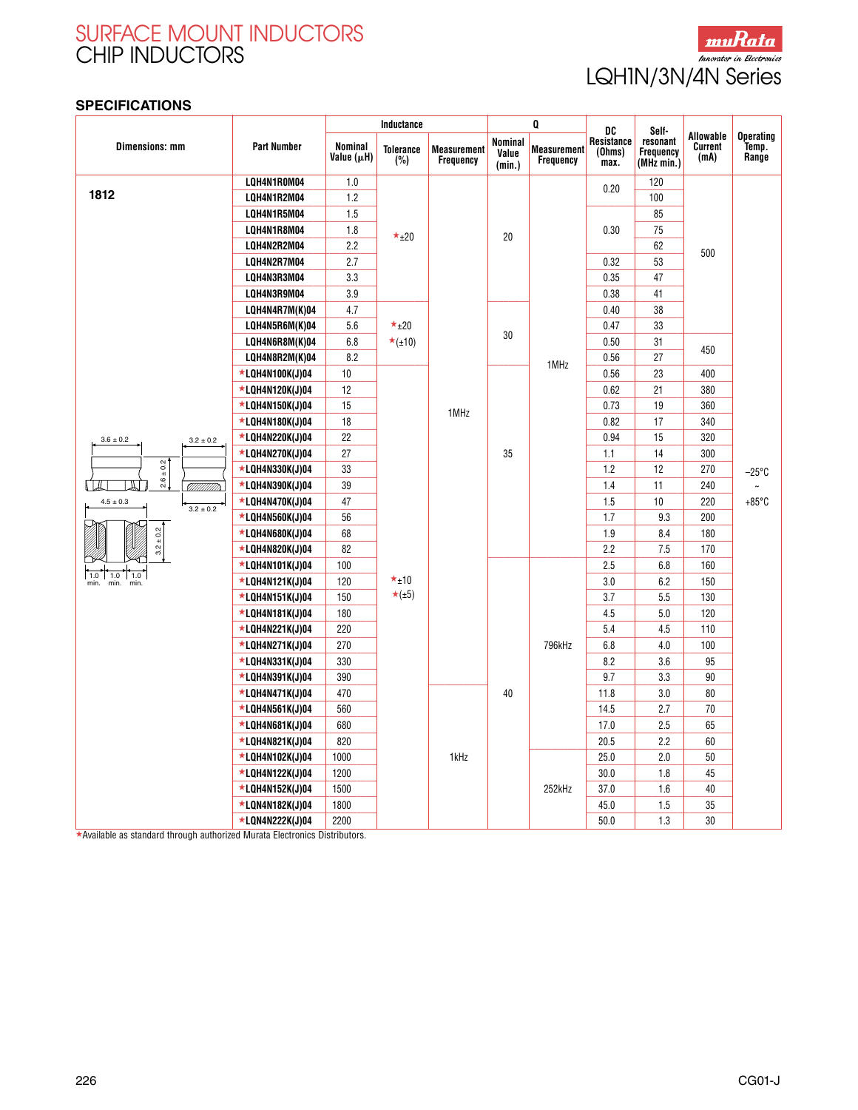

### **SPECIFICATIONS**

|                              | <b>Part Number</b> | Inductance            |                                        |                                 | Q                                 |                                        | DC                           | Self-                                      |                              |                                    |
|------------------------------|--------------------|-----------------------|----------------------------------------|---------------------------------|-----------------------------------|----------------------------------------|------------------------------|--------------------------------------------|------------------------------|------------------------------------|
| <b>Dimensions: mm</b>        |                    | Nominal<br>Value (µH) | <b>Tolerance</b><br>(%)                | Measurement<br><b>Frequency</b> | <b>Nominal</b><br>Value<br>(min.) | <b>Measurement</b><br><b>Frequency</b> | Resistance<br>(Ohms)<br>max. | resonant<br><b>Frequency</b><br>(MHz min.) | Allowable<br>Current<br>(mA) | <b>Operating</b><br>Temp.<br>Range |
|                              | LQH4N1R0M04        | 1.0                   |                                        |                                 |                                   |                                        |                              | 120                                        |                              |                                    |
| 1812                         | LQH4N1R2M04        | 1.2                   |                                        |                                 |                                   | 1MHz                                   | 0.20                         | 100                                        |                              |                                    |
|                              | LQH4N1R5M04        | 1.5                   |                                        |                                 | 20                                |                                        | 0.30                         | 85                                         |                              |                                    |
|                              | LQH4N1R8M04        | 1.8                   | $\star_{\pm 20}$                       |                                 |                                   |                                        |                              | 75                                         |                              |                                    |
|                              | LQH4N2R2M04        | 2.2                   |                                        |                                 |                                   |                                        |                              | 62                                         | 500                          |                                    |
|                              | LQH4N2R7M04        | 2.7                   |                                        |                                 |                                   |                                        | 0.32                         | 53                                         |                              |                                    |
|                              | LQH4N3R3M04        | 3.3                   |                                        |                                 |                                   |                                        | 0.35                         | 47                                         |                              |                                    |
|                              | LQH4N3R9M04        | 3.9                   |                                        |                                 |                                   |                                        | 0.38                         | 41                                         |                              |                                    |
|                              | LQH4N4R7M(K)04     | 4.7                   |                                        |                                 |                                   |                                        | 0.40                         | 38                                         | 450                          | $-25^{\circ}$ C<br>$+85^{\circ}$ C |
|                              | LQH4N5R6M(K)04     | 5.6                   | $\star$ <sub>±20</sub>                 |                                 |                                   |                                        | 0.47                         | 33                                         |                              |                                    |
|                              | LQH4N6R8M(K)04     | 6.8                   | $\star$ (±10)                          |                                 | 30                                |                                        | 0.50                         | 31                                         |                              |                                    |
|                              | LQH4N8R2M(K)04     | 8.2                   |                                        |                                 |                                   |                                        | 0.56                         | 27                                         |                              |                                    |
|                              | *LQH4N100K(J)04    | 10                    |                                        | 1MHz                            | 35                                |                                        | 0.56                         | 23                                         | 400                          |                                    |
|                              | *LQH4N120K(J)04    | 12                    |                                        |                                 |                                   |                                        | 0.62                         | 21                                         | 380                          |                                    |
|                              | *LQH4N150K(J)04    | 15                    |                                        |                                 |                                   |                                        | 0.73                         | 19                                         | 360                          |                                    |
|                              | *LQH4N180K(J)04    | 18                    |                                        |                                 |                                   |                                        | 0.82                         | 17                                         | 340                          |                                    |
| $3.6\pm0.2$<br>$3.2 \pm 0.2$ | *LQH4N220K(J)04    | 22                    |                                        |                                 |                                   |                                        | 0.94                         | 15                                         | 320                          |                                    |
|                              | *LQH4N270K(J)04    | 27                    |                                        |                                 |                                   |                                        | 1.1                          | 14                                         | 300                          |                                    |
| $2.6 \pm 0.2$                | *LQH4N330K(J)04    | 33                    | $\star$ <sub>±10</sub><br>$\star$ (±5) |                                 |                                   |                                        | 1.2                          | 12                                         | 270                          |                                    |
| <u>VIIIIIIIII</u> III        | *LQH4N390K(J)04    | 39                    |                                        |                                 |                                   |                                        | 1.4                          | 11                                         | 240                          |                                    |
| $4.5\pm0.3$<br>$3.2 \pm 0.2$ | *LQH4N470K(J)04    | 47                    |                                        |                                 |                                   |                                        | 1.5                          | 10                                         | 220                          |                                    |
|                              | ★LQH4N560K(J)04    | 56                    |                                        |                                 |                                   |                                        | 1.7                          | 9.3                                        | 200                          |                                    |
| $3.2 \pm 0.2$                | *LQH4N680K(J)04    | 68                    |                                        |                                 |                                   |                                        | 1.9                          | 8.4                                        | 180                          |                                    |
|                              | ★LQH4N820K(J)04    | 82                    |                                        |                                 |                                   |                                        | 2.2                          | 7.5                                        | 170                          |                                    |
| $1.0$ 1.0 1.0                | *LQH4N101K(J)04    | 100                   |                                        |                                 | 40                                | 796kHz                                 | 2.5                          | 6.8                                        | 160                          |                                    |
| min.<br>min.<br>min.         | *LQH4N121K(J)04    | 120                   |                                        |                                 |                                   |                                        | 3.0                          | 6.2                                        | 150                          |                                    |
|                              | *LQH4N151K(J)04    | 150                   |                                        |                                 |                                   |                                        | 3.7                          | 5.5                                        | 130                          |                                    |
|                              | *LQH4N181K(J)04    | 180                   |                                        |                                 |                                   |                                        | 4.5                          | 5.0                                        | 120                          |                                    |
|                              | *LQH4N221K(J)04    | 220                   |                                        |                                 |                                   |                                        | 5.4                          | 4.5                                        | 110                          |                                    |
|                              | *LQH4N271K(J)04    | 270                   |                                        |                                 |                                   |                                        | 6.8                          | 4.0                                        | 100                          |                                    |
|                              | *LQH4N331K(J)04    | 330                   |                                        |                                 |                                   |                                        | 8.2                          | 3.6                                        | 95                           |                                    |
|                              | *LQH4N391K(J)04    | 390                   |                                        |                                 |                                   |                                        | 9.7                          | 3.3                                        | 90                           |                                    |
|                              | *LQH4N471K(J)04    | 470                   |                                        |                                 |                                   |                                        | 11.8                         | 3.0                                        | 80                           |                                    |
|                              | *LQH4N561K(J)04    | 560                   |                                        |                                 |                                   |                                        | 14.5                         | 2.7                                        | 70                           |                                    |
|                              | *LQH4N681K(J)04    | 680                   |                                        |                                 |                                   |                                        | 17.0                         | 2.5                                        | 65                           |                                    |
|                              | *LQH4N821K(J)04    | 820                   |                                        |                                 |                                   |                                        | 20.5                         | 2.2                                        | 60                           |                                    |
|                              | *LQH4N102K(J)04    | 1000                  |                                        | 1kHz                            |                                   |                                        | 25.0                         | 2.0                                        | 50                           |                                    |
|                              | *LQH4N122K(J)04    | 1200                  |                                        |                                 |                                   |                                        | 30.0                         | 1.8                                        | 45                           |                                    |
|                              | *LQH4N152K(J)04    | 1500                  |                                        |                                 |                                   | 252kHz                                 | 37.0                         | 1.6                                        | 40                           |                                    |
|                              | ★LQN4N182K(J)04    | 1800                  |                                        |                                 |                                   |                                        | 45.0                         | 1.5                                        | 35                           |                                    |
|                              | *LQN4N222K(J)04    | 2200                  |                                        |                                 |                                   |                                        | 50.0                         | 1.3                                        | 30                           |                                    |

-Available as standard through authorized Murata Electronics Distributors.